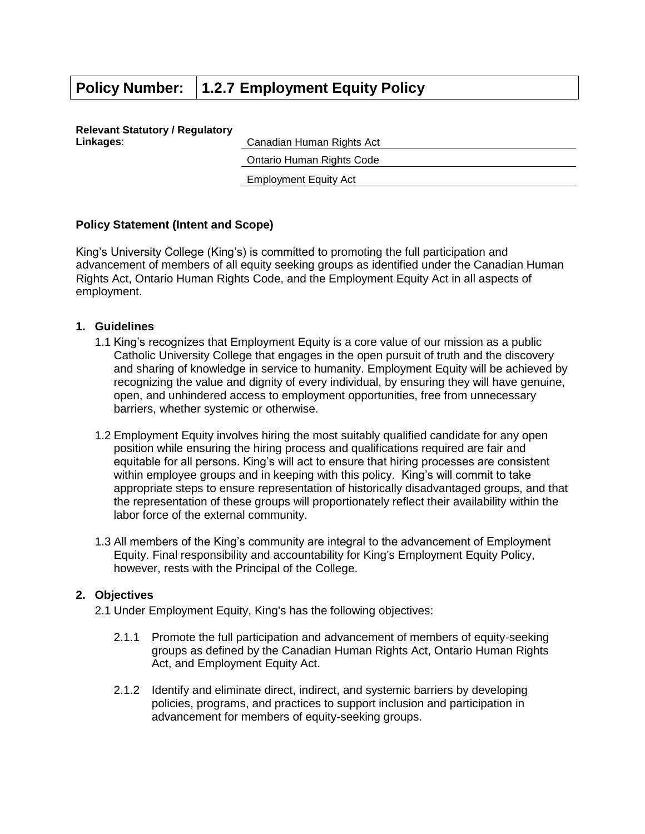# **Policy Number: 1.2.7 Employment Equity Policy**

#### **Relevant Statutory / Regulatory Linkages**: Canadian Human Rights Act

Ontario Human Rights Code

Employment Equity Act

# **Policy Statement (Intent and Scope)**

King's University College (King's) is committed to promoting the full participation and advancement of members of all equity seeking groups as identified under the Canadian Human Rights Act, Ontario Human Rights Code, and the Employment Equity Act in all aspects of employment.

### **1. Guidelines**

- 1.1 King's recognizes that Employment Equity is a core value of our mission as a public Catholic University College that engages in the open pursuit of truth and the discovery and sharing of knowledge in service to humanity. Employment Equity will be achieved by recognizing the value and dignity of every individual, by ensuring they will have genuine, open, and unhindered access to employment opportunities, free from unnecessary barriers, whether systemic or otherwise.
- 1.2 Employment Equity involves hiring the most suitably qualified candidate for any open position while ensuring the hiring process and qualifications required are fair and equitable for all persons. King's will act to ensure that hiring processes are consistent within employee groups and in keeping with this policy. King's will commit to take appropriate steps to ensure representation of historically disadvantaged groups, and that the representation of these groups will proportionately reflect their availability within the labor force of the external community.
- 1.3 All members of the King's community are integral to the advancement of Employment Equity. Final responsibility and accountability for King's Employment Equity Policy, however, rests with the Principal of the College.

#### **2. Objectives**

- 2.1 Under Employment Equity, King's has the following objectives:
	- 2.1.1 Promote the full participation and advancement of members of equity-seeking groups as defined by the Canadian Human Rights Act, Ontario Human Rights Act, and Employment Equity Act.
	- 2.1.2 Identify and eliminate direct, indirect, and systemic barriers by developing policies, programs, and practices to support inclusion and participation in advancement for members of equity-seeking groups.